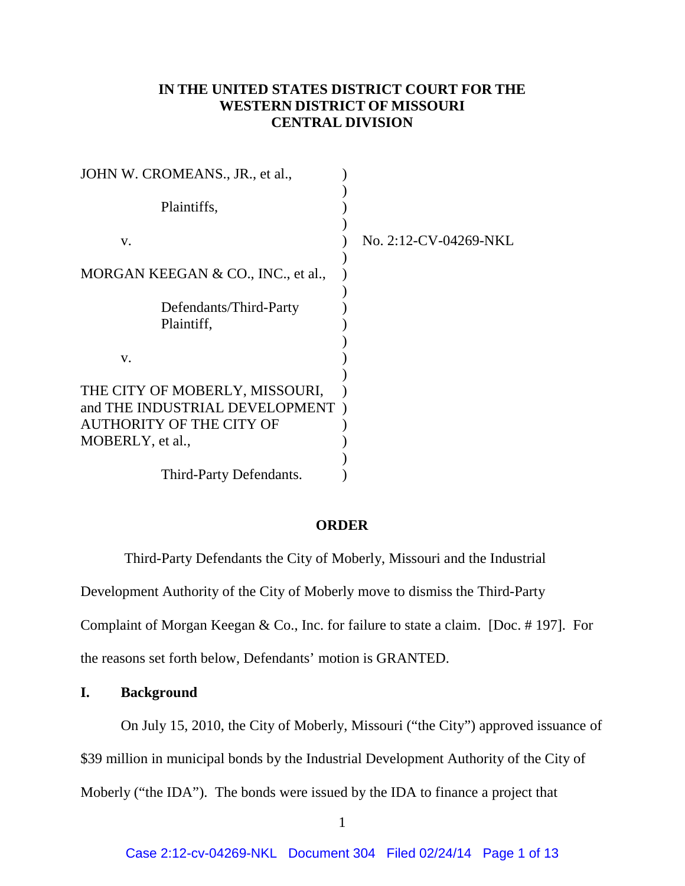# **IN THE UNITED STATES DISTRICT COURT FOR THE WESTERN DISTRICT OF MISSOURI CENTRAL DIVISION**

| JOHN W. CROMEANS., JR., et al.,                                                                                         |                       |
|-------------------------------------------------------------------------------------------------------------------------|-----------------------|
| Plaintiffs,                                                                                                             |                       |
| V.                                                                                                                      | No. 2:12-CV-04269-NKL |
| MORGAN KEEGAN & CO., INC., et al.,                                                                                      |                       |
| Defendants/Third-Party<br>Plaintiff,                                                                                    |                       |
| v.                                                                                                                      |                       |
| THE CITY OF MOBERLY, MISSOURI,<br>and THE INDUSTRIAL DEVELOPMENT<br><b>AUTHORITY OF THE CITY OF</b><br>MOBERLY, et al., |                       |
| Third-Party Defendants.                                                                                                 |                       |

# **ORDER**

Third-Party Defendants the City of Moberly, Missouri and the Industrial

Development Authority of the City of Moberly move to dismiss the Third-Party

Complaint of Morgan Keegan & Co., Inc. for failure to state a claim. [Doc. # 197]. For

the reasons set forth below, Defendants' motion is GRANTED.

# **I. Background**

On July 15, 2010, the City of Moberly, Missouri ("the City") approved issuance of

<span id="page-0-0"></span>\$39 million in municipal bonds by the Industrial Development Authority of the City of

Moberly ("the IDA"). The bonds were issued by the IDA to finance a project that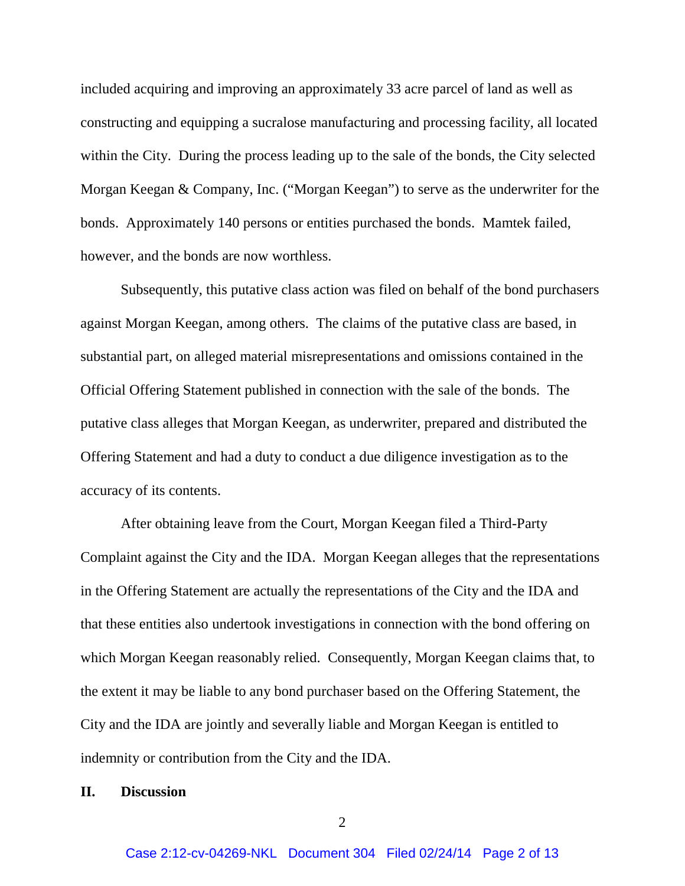included acquiring and improving an approximately 33 acre parcel of land as well as constructing and equipping a sucralose manufacturing and processing facility, all located within the City. During the process leading up to the sale of the bonds, the City selected Morgan Keegan & Company, Inc. ("Morgan Keegan") to serve as the underwriter for the bonds. Approximately 140 persons or entities purchased the bonds. Mamtek failed, however, and the bonds are now worthless.

Subsequently, this putative class action was filed on behalf of the bond purchasers against Morgan Keegan, among others. The claims of the putative class are based, in substantial part, on alleged material misrepresentations and omissions contained in the Official Offering Statement published in connection with the sale of the bonds. The putative class alleges that Morgan Keegan, as underwriter, prepared and distributed the Offering Statement and had a duty to conduct a due diligence investigation as to the accuracy of its contents.

After obtaining leave from the Court, Morgan Keegan filed a Third-Party Complaint against the City and the IDA. Morgan Keegan alleges that the representations in the Offering Statement are actually the representations of the City and the IDA and that these entities also undertook investigations in connection with the bond offering on which Morgan Keegan reasonably relied. Consequently, Morgan Keegan claims that, to the extent it may be liable to any bond purchaser based on the Offering Statement, the City and the IDA are jointly and severally liable and Morgan Keegan is entitled to indemnity or contribution from the City and the IDA.

#### **II. Discussion**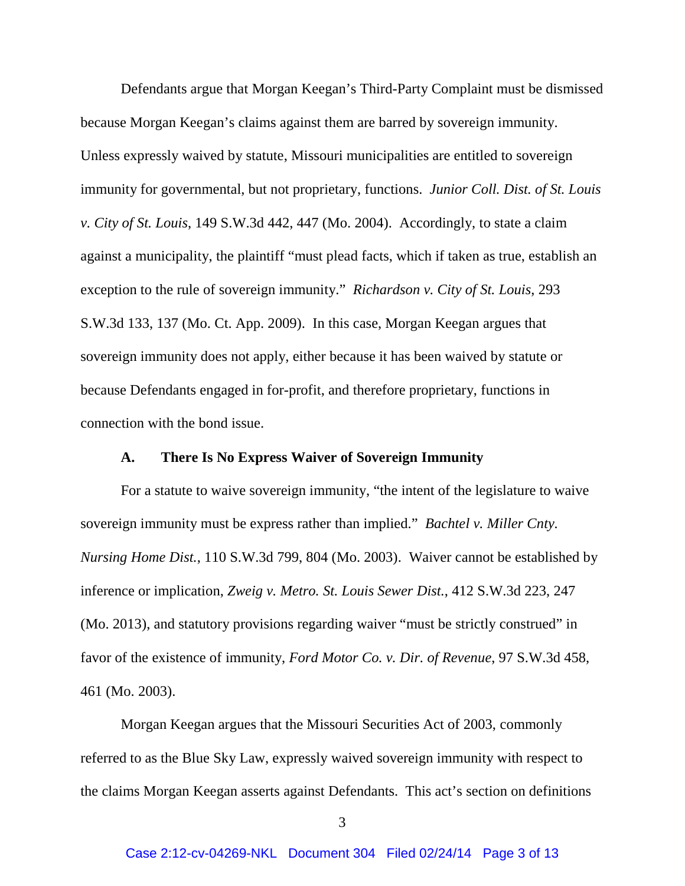Defendants argue that Morgan Keegan's Third-Party Complaint must be dismissed because Morgan Keegan's claims against them are barred by sovereign immunity. Unless expressly waived by statute, Missouri municipalities are entitled to sovereign immunity for governmental, but not proprietary, functions. *Junior Coll. Dist. of St. Louis v. City of St. Louis*, 149 S.W.3d 442, 447 (Mo. 2004). Accordingly, to state a claim against a municipality, the plaintiff "must plead facts, which if taken as true, establish an exception to the rule of sovereign immunity." *Richardson v. City of St. Louis*, 293 S.W.3d 133, 137 (Mo. Ct. App. 2009). In this case, Morgan Keegan argues that sovereign immunity does not apply, either because it has been waived by statute or because Defendants engaged in for-profit, and therefore proprietary, functions in connection with the bond issue.

### **A. There Is No Express Waiver of Sovereign Immunity**

For a statute to waive sovereign immunity, "the intent of the legislature to waive sovereign immunity must be express rather than implied." *Bachtel v. Miller Cnty. Nursing Home Dist.*, 110 S.W.3d 799, 804 (Mo. 2003). Waiver cannot be established by inference or implication, *Zweig v. Metro. St. Louis Sewer Dist.*, 412 S.W.3d 223, 247 (Mo. 2013), and statutory provisions regarding waiver "must be strictly construed" in favor of the existence of immunity, *Ford Motor Co. v. Dir. of Revenue*, 97 S.W.3d 458, 461 (Mo. 2003).

Morgan Keegan argues that the Missouri Securities Act of 2003, commonly referred to as the Blue Sky Law, expressly waived sovereign immunity with respect to the claims Morgan Keegan asserts against Defendants. This act's section on definitions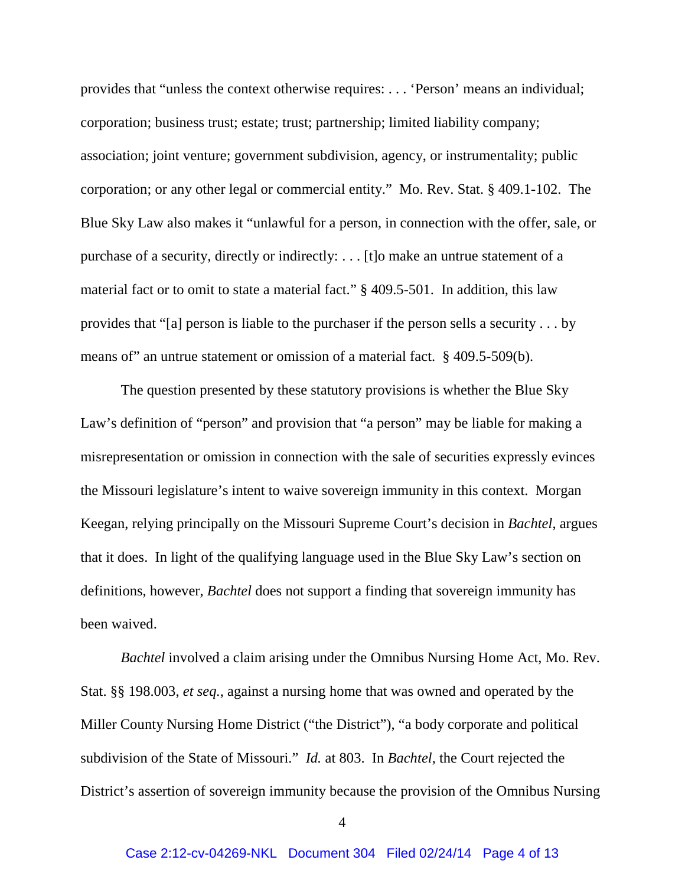provides that "unless the context otherwise requires: . . . 'Person' means an individual; corporation; business trust; estate; trust; partnership; limited liability company; association; joint venture; government subdivision, agency, or instrumentality; public corporation; or any other legal or commercial entity." Mo. Rev. Stat. § 409.1-102. The Blue Sky Law also makes it "unlawful for a person, in connection with the offer, sale, or purchase of a security, directly or indirectly: . . . [t]o make an untrue statement of a material fact or to omit to state a material fact." § 409.5-501. In addition, this law provides that "[a] person is liable to the purchaser if the person sells a security . . . by means of" an untrue statement or omission of a material fact. § 409.5-509(b).

The question presented by these statutory provisions is whether the Blue Sky Law's definition of "person" and provision that "a person" may be liable for making a misrepresentation or omission in connection with the sale of securities expressly evinces the Missouri legislature's intent to waive sovereign immunity in this context. Morgan Keegan, relying principally on the Missouri Supreme Court's decision in *Bachtel*, argues that it does. In light of the qualifying language used in the Blue Sky Law's section on definitions, however, *Bachtel* does not support a finding that sovereign immunity has been waived.

*Bachtel* involved a claim arising under the Omnibus Nursing Home Act, Mo. Rev. Stat. §§ 198.003, *et seq.*, against a nursing home that was owned and operated by the Miller County Nursing Home District ("the District"), "a body corporate and political subdivision of the State of Missouri." *Id.* at 803. In *Bachtel*, the Court rejected the District's assertion of sovereign immunity because the provision of the Omnibus Nursing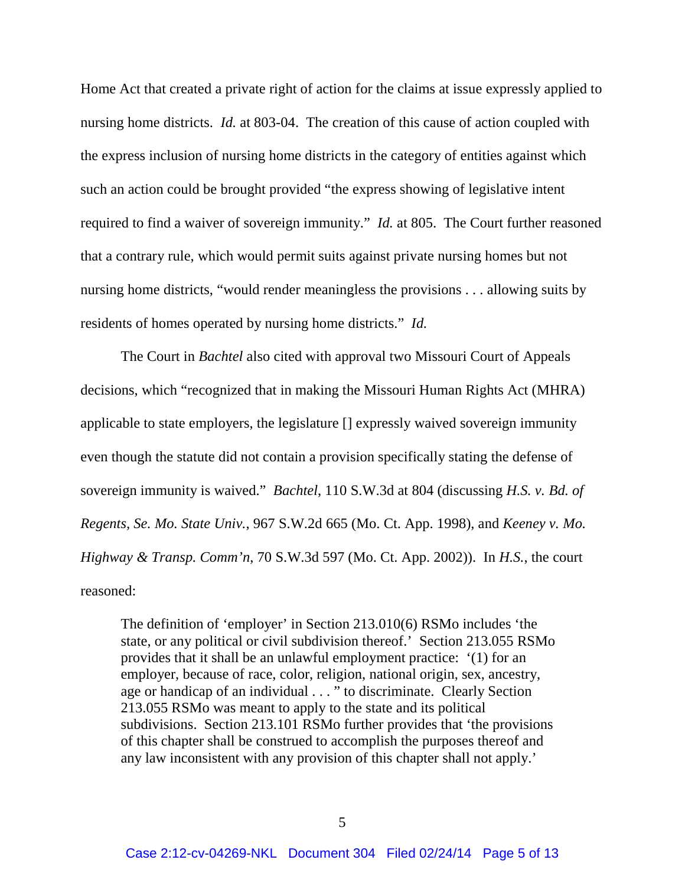Home Act that created a private right of action for the claims at issue expressly applied to nursing home districts. *Id.* at 803-04. The creation of this cause of action coupled with the express inclusion of nursing home districts in the category of entities against which such an action could be brought provided "the express showing of legislative intent required to find a waiver of sovereign immunity." *Id.* at 805. The Court further reasoned that a contrary rule, which would permit suits against private nursing homes but not nursing home districts, "would render meaningless the provisions . . . allowing suits by residents of homes operated by nursing home districts." *Id.*

The Court in *Bachtel* also cited with approval two Missouri Court of Appeals decisions, which "recognized that in making the Missouri Human Rights Act (MHRA) applicable to state employers, the legislature [] expressly waived sovereign immunity even though the statute did not contain a provision specifically stating the defense of sovereign immunity is waived." *Bachtel*, 110 S.W.3d at 804 (discussing *H.S. v. Bd. of Regents, Se. Mo. State Univ.*, 967 S.W.2d 665 (Mo. Ct. App. 1998), and *Keeney v. Mo. Highway & Transp. Comm'n*, 70 S.W.3d 597 (Mo. Ct. App. 2002)). In *H.S.*, the court reasoned:

The definition of 'employer' in Section 213.010(6) RSMo includes 'the state, or any political or civil subdivision thereof.' Section 213.055 RSMo provides that it shall be an unlawful employment practice: '(1) for an employer, because of race, color, religion, national origin, sex, ancestry, age or handicap of an individual . . . " to discriminate. Clearly Section 213.055 RSMo was meant to apply to the state and its political subdivisions. Section 213.101 RSMo further provides that 'the provisions of this chapter shall be construed to accomplish the purposes thereof and any law inconsistent with any provision of this chapter shall not apply.'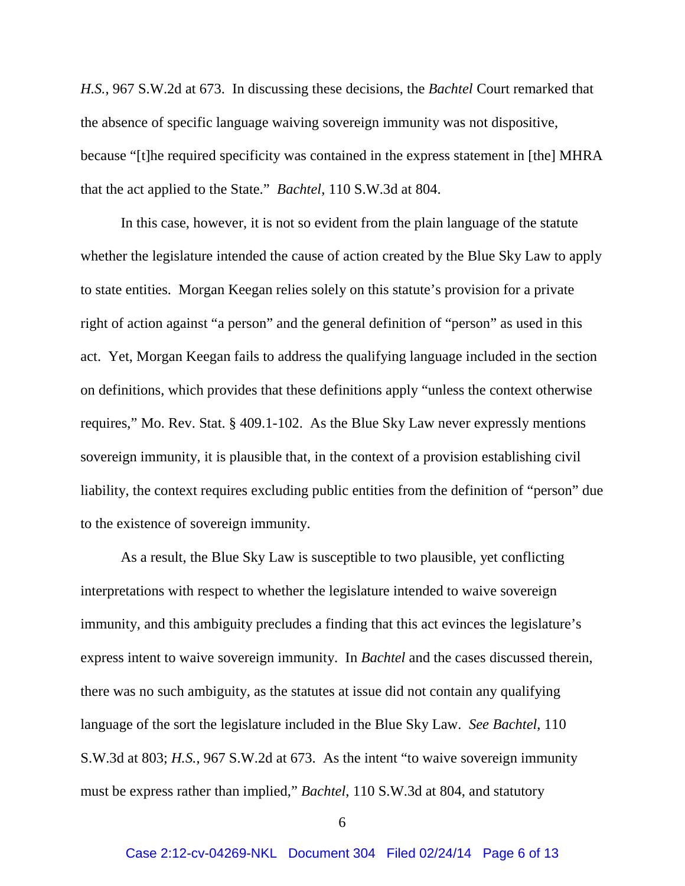*H.S.*, 967 S.W.2d at 673. In discussing these decisions, the *Bachtel* Court remarked that the absence of specific language waiving sovereign immunity was not dispositive, because "[t]he required specificity was contained in the express statement in [the] MHRA that the act applied to the State." *Bachtel*, 110 S.W.3d at 804.

In this case, however, it is not so evident from the plain language of the statute whether the legislature intended the cause of action created by the Blue Sky Law to apply to state entities. Morgan Keegan relies solely on this statute's provision for a private right of action against "a person" and the general definition of "person" as used in this act. Yet, Morgan Keegan fails to address the qualifying language included in the section on definitions, which provides that these definitions apply "unless the context otherwise requires," Mo. Rev. Stat. § 409.1-102. As the Blue Sky Law never expressly mentions sovereign immunity, it is plausible that, in the context of a provision establishing civil liability, the context requires excluding public entities from the definition of "person" due to the existence of sovereign immunity.

As a result, the Blue Sky Law is susceptible to two plausible, yet conflicting interpretations with respect to whether the legislature intended to waive sovereign immunity, and this ambiguity precludes a finding that this act evinces the legislature's express intent to waive sovereign immunity. In *Bachtel* and the cases discussed therein, there was no such ambiguity, as the statutes at issue did not contain any qualifying language of the sort the legislature included in the Blue Sky Law. *See Bachtel*, 110 S.W.3d at 803; *H.S.*, 967 S.W.2d at 673. As the intent "to waive sovereign immunity must be express rather than implied," *Bachtel*, 110 S.W.3d at 804, and statutory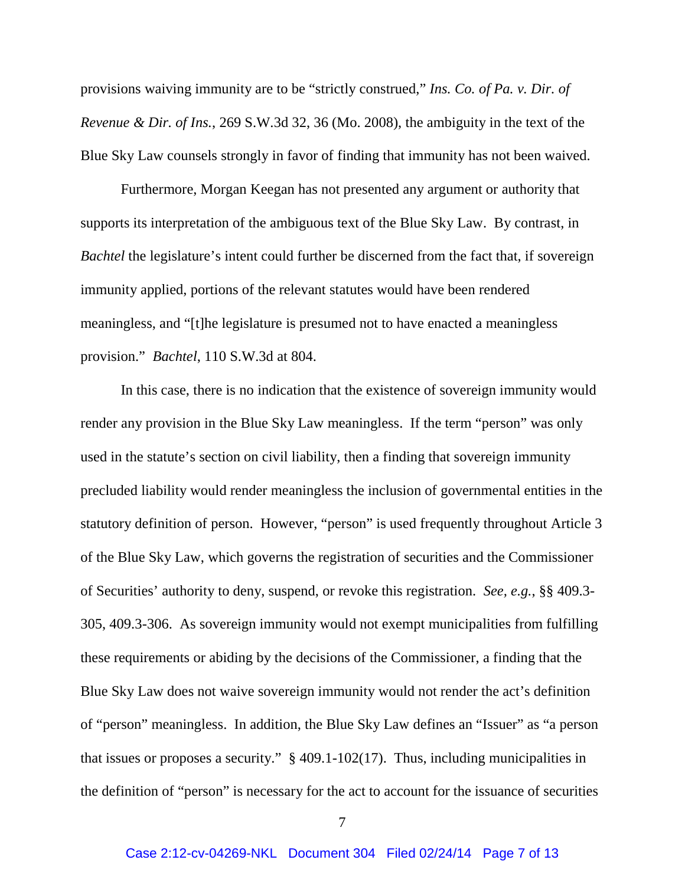provisions waiving immunity are to be "strictly construed," *Ins. Co. of Pa. v. Dir. of Revenue & Dir. of Ins.*, 269 S.W.3d 32, 36 (Mo. 2008), the ambiguity in the text of the Blue Sky Law counsels strongly in favor of finding that immunity has not been waived.

Furthermore, Morgan Keegan has not presented any argument or authority that supports its interpretation of the ambiguous text of the Blue Sky Law. By contrast, in *Bachtel* the legislature's intent could further be discerned from the fact that, if sovereign immunity applied, portions of the relevant statutes would have been rendered meaningless, and "[t]he legislature is presumed not to have enacted a meaningless provision." *Bachtel*, 110 S.W.3d at 804.

In this case, there is no indication that the existence of sovereign immunity would render any provision in the Blue Sky Law meaningless. If the term "person" was only used in the statute's section on civil liability, then a finding that sovereign immunity precluded liability would render meaningless the inclusion of governmental entities in the statutory definition of person. However, "person" is used frequently throughout Article 3 of the Blue Sky Law, which governs the registration of securities and the Commissioner of Securities' authority to deny, suspend, or revoke this registration. *See, e.g.*, §§ 409.3- 305, 409.3-306. As sovereign immunity would not exempt municipalities from fulfilling these requirements or abiding by the decisions of the Commissioner, a finding that the Blue Sky Law does not waive sovereign immunity would not render the act's definition of "person" meaningless. In addition, the Blue Sky Law defines an "Issuer" as "a person that issues or proposes a security." § 409.1-102(17). Thus, including municipalities in the definition of "person" is necessary for the act to account for the issuance of securities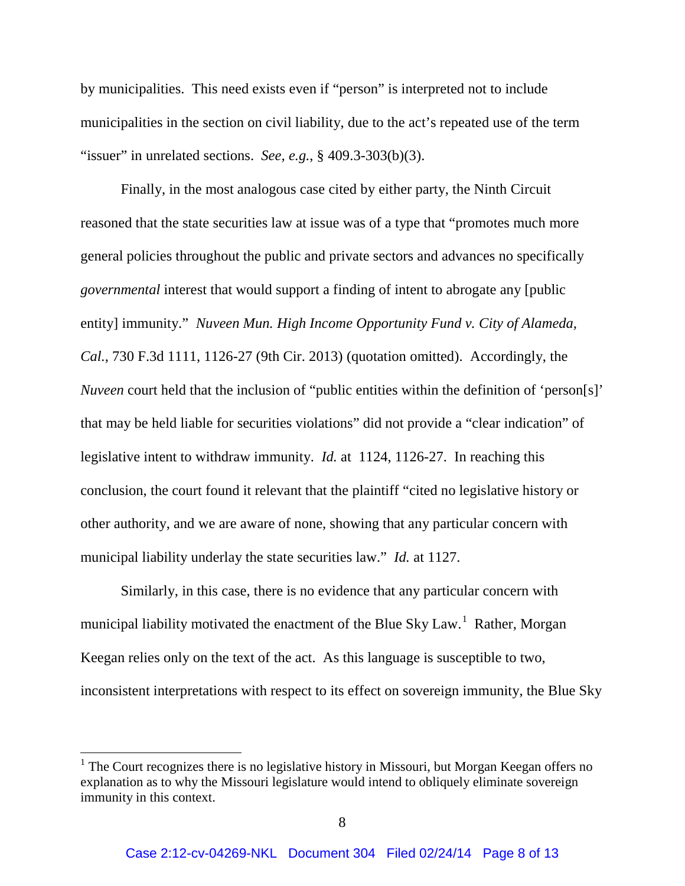by municipalities. This need exists even if "person" is interpreted not to include municipalities in the section on civil liability, due to the act's repeated use of the term "issuer" in unrelated sections. *See, e.g.*, § 409.3-303(b)(3).

Finally, in the most analogous case cited by either party, the Ninth Circuit reasoned that the state securities law at issue was of a type that "promotes much more general policies throughout the public and private sectors and advances no specifically *governmental* interest that would support a finding of intent to abrogate any [public entity] immunity." *Nuveen Mun. High Income Opportunity Fund v. City of Alameda, Cal.*, 730 F.3d 1111, 1126-27 (9th Cir. 2013) (quotation omitted). Accordingly, the *Nuveen* court held that the inclusion of "public entities within the definition of 'person[s]' that may be held liable for securities violations" did not provide a "clear indication" of legislative intent to withdraw immunity. *Id.* at 1124, 1126-27. In reaching this conclusion, the court found it relevant that the plaintiff "cited no legislative history or other authority, and we are aware of none, showing that any particular concern with municipal liability underlay the state securities law." *Id.* at 1127.

Similarly, in this case, there is no evidence that any particular concern with municipal liability motivated the enactment of the Blue Sky Law.<sup>[1](#page-0-0)</sup> Rather, Morgan Keegan relies only on the text of the act. As this language is susceptible to two, inconsistent interpretations with respect to its effect on sovereign immunity, the Blue Sky

 $<sup>1</sup>$  The Court recognizes there is no legislative history in Missouri, but Morgan Keegan offers no</sup> explanation as to why the Missouri legislature would intend to obliquely eliminate sovereign immunity in this context.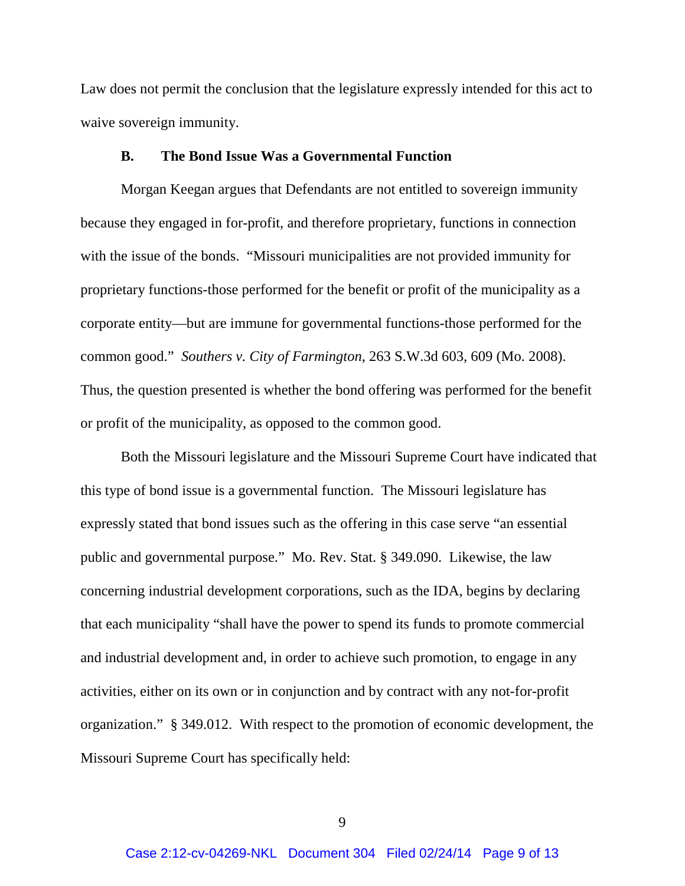Law does not permit the conclusion that the legislature expressly intended for this act to waive sovereign immunity.

### **B. The Bond Issue Was a Governmental Function**

Morgan Keegan argues that Defendants are not entitled to sovereign immunity because they engaged in for-profit, and therefore proprietary, functions in connection with the issue of the bonds. "Missouri municipalities are not provided immunity for proprietary functions-those performed for the benefit or profit of the municipality as a corporate entity—but are immune for governmental functions-those performed for the common good." *Southers v. City of Farmington*, 263 S.W.3d 603, 609 (Mo. 2008). Thus, the question presented is whether the bond offering was performed for the benefit or profit of the municipality, as opposed to the common good.

Both the Missouri legislature and the Missouri Supreme Court have indicated that this type of bond issue is a governmental function. The Missouri legislature has expressly stated that bond issues such as the offering in this case serve "an essential public and governmental purpose." Mo. Rev. Stat. § 349.090. Likewise, the law concerning industrial development corporations, such as the IDA, begins by declaring that each municipality "shall have the power to spend its funds to promote commercial and industrial development and, in order to achieve such promotion, to engage in any activities, either on its own or in conjunction and by contract with any not-for-profit organization." § 349.012. With respect to the promotion of economic development, the Missouri Supreme Court has specifically held: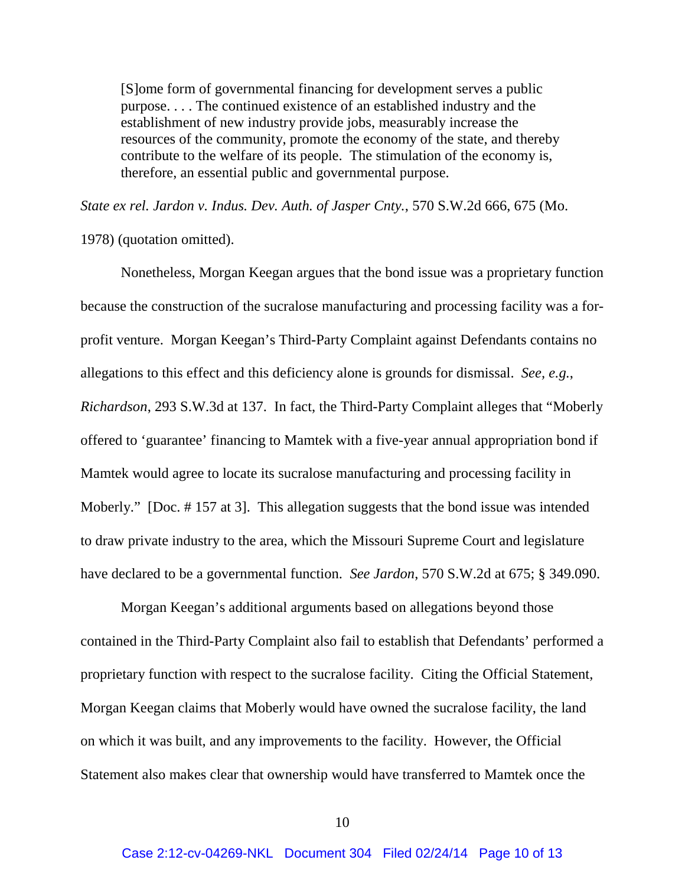[S]ome form of governmental financing for development serves a public purpose. . . . The continued existence of an established industry and the establishment of new industry provide jobs, measurably increase the resources of the community, promote the economy of the state, and thereby contribute to the welfare of its people. The stimulation of the economy is, therefore, an essential public and governmental purpose.

*State ex rel. Jardon v. Indus. Dev. Auth. of Jasper Cnty.*, 570 S.W.2d 666, 675 (Mo.

1978) (quotation omitted).

Nonetheless, Morgan Keegan argues that the bond issue was a proprietary function because the construction of the sucralose manufacturing and processing facility was a forprofit venture. Morgan Keegan's Third-Party Complaint against Defendants contains no allegations to this effect and this deficiency alone is grounds for dismissal. *See, e.g.*, *Richardson*, 293 S.W.3d at 137. In fact, the Third-Party Complaint alleges that "Moberly offered to 'guarantee' financing to Mamtek with a five-year annual appropriation bond if Mamtek would agree to locate its sucralose manufacturing and processing facility in Moberly." [Doc. #157 at 3]. This allegation suggests that the bond issue was intended to draw private industry to the area, which the Missouri Supreme Court and legislature have declared to be a governmental function. *See Jardon*, 570 S.W.2d at 675; § 349.090.

Morgan Keegan's additional arguments based on allegations beyond those contained in the Third-Party Complaint also fail to establish that Defendants' performed a proprietary function with respect to the sucralose facility. Citing the Official Statement, Morgan Keegan claims that Moberly would have owned the sucralose facility, the land on which it was built, and any improvements to the facility. However, the Official Statement also makes clear that ownership would have transferred to Mamtek once the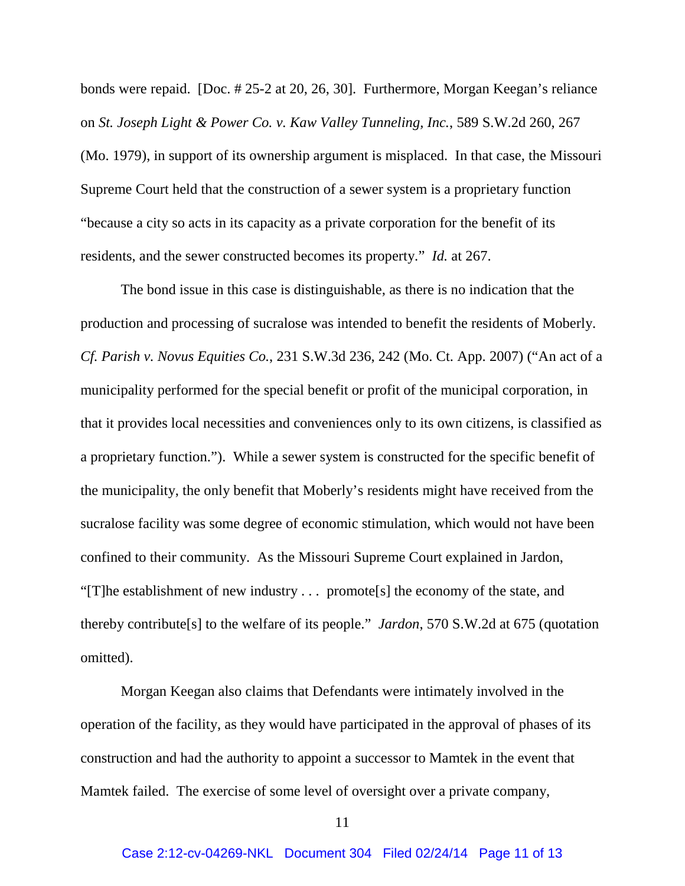bonds were repaid. [Doc. # 25-2 at 20, 26, 30]. Furthermore, Morgan Keegan's reliance on *St. Joseph Light & Power Co. v. Kaw Valley Tunneling, Inc.*, 589 S.W.2d 260, 267 (Mo. 1979), in support of its ownership argument is misplaced. In that case, the Missouri Supreme Court held that the construction of a sewer system is a proprietary function "because a city so acts in its capacity as a private corporation for the benefit of its residents, and the sewer constructed becomes its property." *Id.* at 267.

The bond issue in this case is distinguishable, as there is no indication that the production and processing of sucralose was intended to benefit the residents of Moberly. *Cf. Parish v. Novus Equities Co.*, 231 S.W.3d 236, 242 (Mo. Ct. App. 2007) ("An act of a municipality performed for the special benefit or profit of the municipal corporation, in that it provides local necessities and conveniences only to its own citizens, is classified as a proprietary function."). While a sewer system is constructed for the specific benefit of the municipality, the only benefit that Moberly's residents might have received from the sucralose facility was some degree of economic stimulation, which would not have been confined to their community. As the Missouri Supreme Court explained in Jardon, "[T]he establishment of new industry . . . promote[s] the economy of the state, and thereby contribute[s] to the welfare of its people." *Jardon*, 570 S.W.2d at 675 (quotation omitted).

Morgan Keegan also claims that Defendants were intimately involved in the operation of the facility, as they would have participated in the approval of phases of its construction and had the authority to appoint a successor to Mamtek in the event that Mamtek failed. The exercise of some level of oversight over a private company,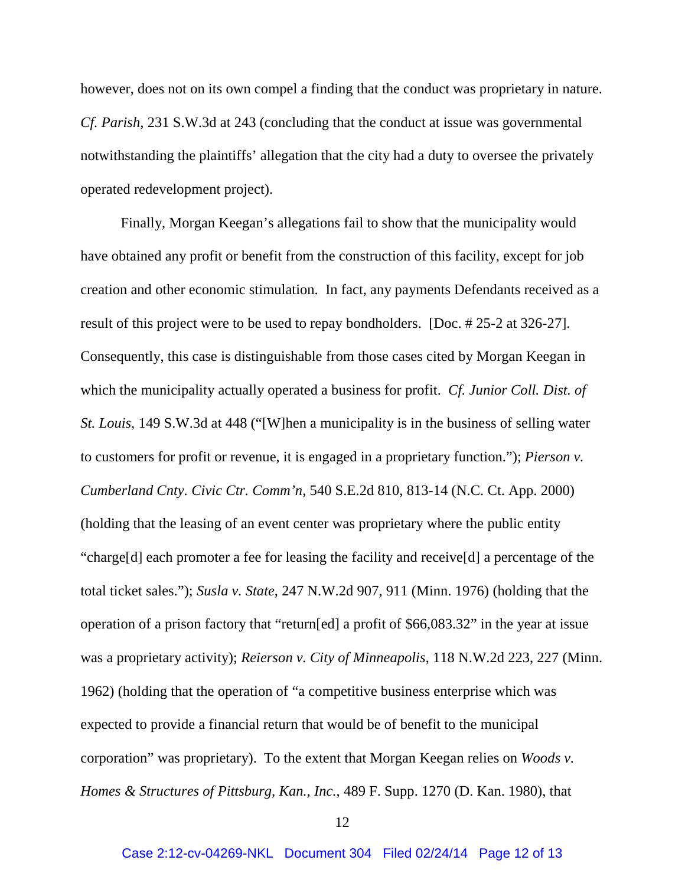however, does not on its own compel a finding that the conduct was proprietary in nature. *Cf. Parish*, 231 S.W.3d at 243 (concluding that the conduct at issue was governmental notwithstanding the plaintiffs' allegation that the city had a duty to oversee the privately operated redevelopment project).

Finally, Morgan Keegan's allegations fail to show that the municipality would have obtained any profit or benefit from the construction of this facility, except for job creation and other economic stimulation. In fact, any payments Defendants received as a result of this project were to be used to repay bondholders. [Doc. # 25-2 at 326-27]. Consequently, this case is distinguishable from those cases cited by Morgan Keegan in which the municipality actually operated a business for profit. *Cf. Junior Coll. Dist. of St. Louis*, 149 S.W.3d at 448 ("[W]hen a municipality is in the business of selling water to customers for profit or revenue, it is engaged in a proprietary function."); *Pierson v. Cumberland Cnty. Civic Ctr. Comm'n*, 540 S.E.2d 810, 813-14 (N.C. Ct. App. 2000) (holding that the leasing of an event center was proprietary where the public entity "charge[d] each promoter a fee for leasing the facility and receive[d] a percentage of the total ticket sales."); *Susla v. State*, 247 N.W.2d 907, 911 (Minn. 1976) (holding that the operation of a prison factory that "return[ed] a profit of \$66,083.32" in the year at issue was a proprietary activity); *Reierson v. City of Minneapolis*, 118 N.W.2d 223, 227 (Minn. 1962) (holding that the operation of "a competitive business enterprise which was expected to provide a financial return that would be of benefit to the municipal corporation" was proprietary). To the extent that Morgan Keegan relies on *Woods v. Homes & Structures of Pittsburg, Kan., Inc.*, 489 F. Supp. 1270 (D. Kan. 1980), that